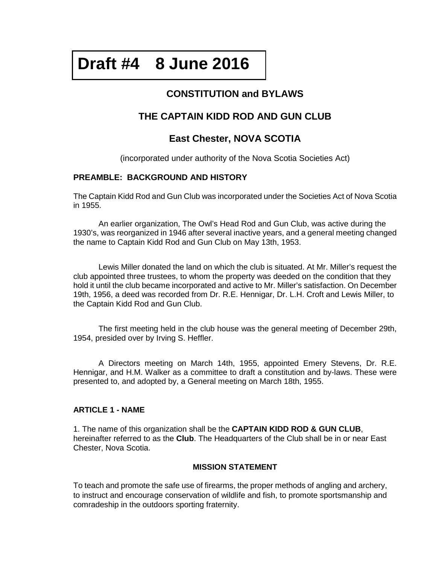# **Draft #4 8 June 2016**

# **CONSTITUTION and BYLAWS**

# **THE CAPTAIN KIDD ROD AND GUN CLUB**

# **East Chester, NOVA SCOTIA**

(incorporated under authority of the Nova Scotia Societies Act)

# **PREAMBLE: BACKGROUND AND HISTORY**

The Captain Kidd Rod and Gun Club was incorporated under the Societies Act of Nova Scotia in 1955.

An earlier organization, The Owl's Head Rod and Gun Club, was active during the 1930's, was reorganized in 1946 after several inactive years, and a general meeting changed the name to Captain Kidd Rod and Gun Club on May 13th, 1953.

Lewis Miller donated the land on which the club is situated. At Mr. Miller's request the club appointed three trustees, to whom the property was deeded on the condition that they hold it until the club became incorporated and active to Mr. Miller's satisfaction. On December 19th, 1956, a deed was recorded from Dr. R.E. Hennigar, Dr. L.H. Croft and Lewis Miller, to the Captain Kidd Rod and Gun Club.

The first meeting held in the club house was the general meeting of December 29th, 1954, presided over by Irving S. Heffler.

A Directors meeting on March 14th, 1955, appointed Emery Stevens, Dr. R.E. Hennigar, and H.M. Walker as a committee to draft a constitution and by-laws. These were presented to, and adopted by, a General meeting on March 18th, 1955.

## **ARTICLE 1 - NAME**

1. The name of this organization shall be the **CAPTAIN KIDD ROD & GUN CLUB**, hereinafter referred to as the **Club**. The Headquarters of the Club shall be in or near East Chester, Nova Scotia.

## **MISSION STATEMENT**

To teach and promote the safe use of firearms, the proper methods of angling and archery, to instruct and encourage conservation of wildlife and fish, to promote sportsmanship and comradeship in the outdoors sporting fraternity.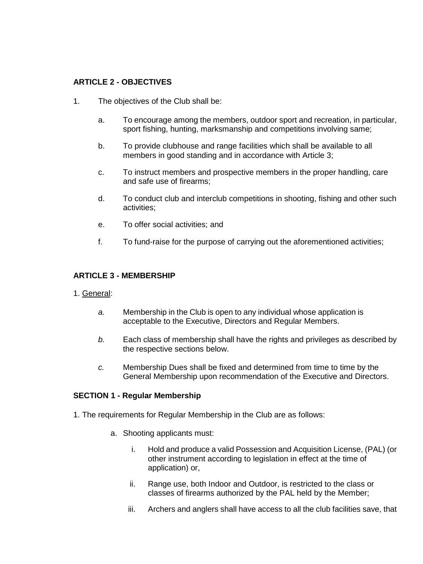## **ARTICLE 2 - OBJECTIVES**

- 1. The objectives of the Club shall be:
	- a. To encourage among the members, outdoor sport and recreation, in particular, sport fishing, hunting, marksmanship and competitions involving same;
	- b. To provide clubhouse and range facilities which shall be available to all members in good standing and in accordance with Article 3;
	- c. To instruct members and prospective members in the proper handling, care and safe use of firearms;
	- d. To conduct club and interclub competitions in shooting, fishing and other such activities;
	- e. To offer social activities; and
	- f. To fund-raise for the purpose of carrying out the aforementioned activities;

#### **ARTICLE 3 - MEMBERSHIP**

- 1. General:
	- *a.* Membership in the Club is open to any individual whose application is acceptable to the Executive, Directors and Regular Members.
	- *b.* Each class of membership shall have the rights and privileges as described by the respective sections below.
	- *c.* Membership Dues shall be fixed and determined from time to time by the General Membership upon recommendation of the Executive and Directors.

#### **SECTION 1 - Regular Membership**

- 1. The requirements for Regular Membership in the Club are as follows:
	- a. Shooting applicants must:
		- i. Hold and produce a valid Possession and Acquisition License, (PAL) (or other instrument according to legislation in effect at the time of application) or,
		- ii. Range use, both Indoor and Outdoor, is restricted to the class or classes of firearms authorized by the PAL held by the Member;
		- iii. Archers and anglers shall have access to all the club facilities save, that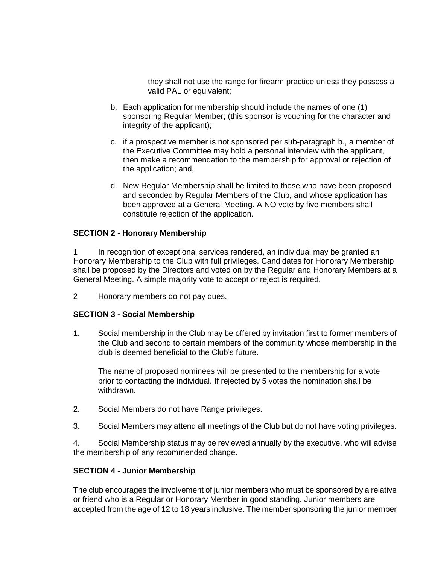they shall not use the range for firearm practice unless they possess a valid PAL or equivalent;

- b. Each application for membership should include the names of one (1) sponsoring Regular Member; (this sponsor is vouching for the character and integrity of the applicant);
- c. if a prospective member is not sponsored per sub-paragraph b., a member of the Executive Committee may hold a personal interview with the applicant, then make a recommendation to the membership for approval or rejection of the application; and,
- d. New Regular Membership shall be limited to those who have been proposed and seconded by Regular Members of the Club, and whose application has been approved at a General Meeting. A NO vote by five members shall constitute rejection of the application.

## **SECTION 2 - Honorary Membership**

1 In recognition of exceptional services rendered, an individual may be granted an Honorary Membership to the Club with full privileges. Candidates for Honorary Membership shall be proposed by the Directors and voted on by the Regular and Honorary Members at a General Meeting. A simple majority vote to accept or reject is required.

2 Honorary members do not pay dues.

## **SECTION 3 - Social Membership**

1. Social membership in the Club may be offered by invitation first to former members of the Club and second to certain members of the community whose membership in the club is deemed beneficial to the Club's future.

The name of proposed nominees will be presented to the membership for a vote prior to contacting the individual. If rejected by 5 votes the nomination shall be withdrawn.

- 2. Social Members do not have Range privileges.
- 3. Social Members may attend all meetings of the Club but do not have voting privileges.

4. Social Membership status may be reviewed annually by the executive, who will advise the membership of any recommended change.

#### **SECTION 4 - Junior Membership**

The club encourages the involvement of junior members who must be sponsored by a relative or friend who is a Regular or Honorary Member in good standing. Junior members are accepted from the age of 12 to 18 years inclusive. The member sponsoring the junior member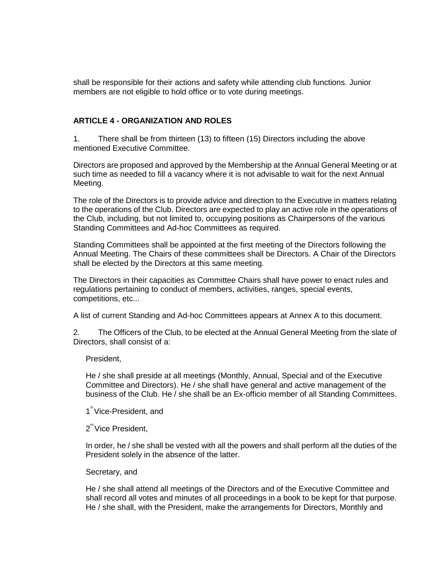shall be responsible for their actions and safety while attending club functions. Junior members are not eligible to hold office or to vote during meetings.

## **ARTICLE 4 - ORGANIZATION AND ROLES**

1. There shall be from thirteen (13) to fifteen (15) Directors including the above mentioned Executive Committee.

Directors are proposed and approved by the Membership at the Annual General Meeting or at such time as needed to fill a vacancy where it is not advisable to wait for the next Annual Meeting.

The role of the Directors is to provide advice and direction to the Executive in matters relating to the operations of the Club. Directors are expected to play an active role in the operations of the Club, including, but not limited to, occupying positions as Chairpersons of the various Standing Committees and Ad-hoc Committees as required.

Standing Committees shall be appointed at the first meeting of the Directors following the Annual Meeting. The Chairs of these committees shall be Directors. A Chair of the Directors shall be elected by the Directors at this same meeting.

The Directors in their capacities as Committee Chairs shall have power to enact rules and regulations pertaining to conduct of members, activities, ranges, special events, competitions, etc...

A list of current Standing and Ad-hoc Committees appears at Annex A to this document.

2. The Officers of the Club, to be elected at the Annual General Meeting from the slate of Directors, shall consist of a:

President,

He / she shall preside at all meetings (Monthly, Annual, Special and of the Executive Committee and Directors). He / she shall have general and active management of the business of the Club. He / she shall be an Ex-officio member of all Standing Committees.

- 1<sup>st</sup> Vice-President, and
- 2<sup>nd</sup> Vice President,

In order, he / she shall be vested with all the powers and shall perform all the duties of the President solely in the absence of the latter.

Secretary, and

He / she shall attend all meetings of the Directors and of the Executive Committee and shall record all votes and minutes of all proceedings in a book to be kept for that purpose. He / she shall, with the President, make the arrangements for Directors, Monthly and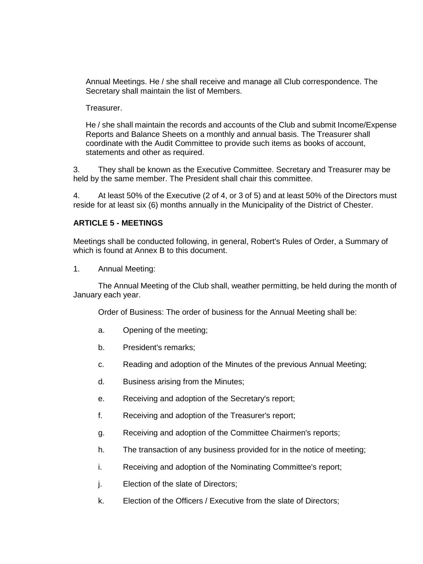Annual Meetings. He / she shall receive and manage all Club correspondence. The Secretary shall maintain the list of Members.

Treasurer.

He / she shall maintain the records and accounts of the Club and submit Income/Expense Reports and Balance Sheets on a monthly and annual basis. The Treasurer shall coordinate with the Audit Committee to provide such items as books of account, statements and other as required.

3. They shall be known as the Executive Committee. Secretary and Treasurer may be held by the same member. The President shall chair this committee.

4. At least 50% of the Executive (2 of 4, or 3 of 5) and at least 50% of the Directors must reside for at least six (6) months annually in the Municipality of the District of Chester.

#### **ARTICLE 5 - MEETINGS**

Meetings shall be conducted following, in general, Robert's Rules of Order, a Summary of which is found at Annex B to this document.

1. Annual Meeting:

The Annual Meeting of the Club shall, weather permitting, be held during the month of January each year.

Order of Business: The order of business for the Annual Meeting shall be:

- a. Opening of the meeting;
- b. President's remarks;
- c. Reading and adoption of the Minutes of the previous Annual Meeting;
- d. Business arising from the Minutes;
- e. Receiving and adoption of the Secretary's report;
- f. Receiving and adoption of the Treasurer's report;
- g. Receiving and adoption of the Committee Chairmen's reports;
- h. The transaction of any business provided for in the notice of meeting;
- i. Receiving and adoption of the Nominating Committee's report;
- j. Election of the slate of Directors;
- k. Election of the Officers / Executive from the slate of Directors;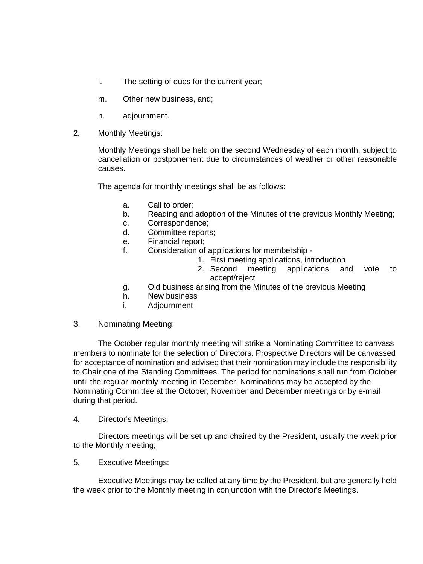- l. The setting of dues for the current year;
- m. Other new business, and;
- n. adjournment.
- 2. Monthly Meetings:

Monthly Meetings shall be held on the second Wednesday of each month, subject to cancellation or postponement due to circumstances of weather or other reasonable causes.

The agenda for monthly meetings shall be as follows:

- a. Call to order;
- b. Reading and adoption of the Minutes of the previous Monthly Meeting;
- c. Correspondence;
- d. Committee reports;
- e. Financial report;
- f. Consideration of applications for membership
	- 1. First meeting applications, introduction
	- 2. Second meeting applications and vote to accept/reject
- g. Old business arising from the Minutes of the previous Meeting
- h. New business
- i. Adjournment
- 3. Nominating Meeting:

The October regular monthly meeting will strike a Nominating Committee to canvass members to nominate for the selection of Directors. Prospective Directors will be canvassed for acceptance of nomination and advised that their nomination may include the responsibility to Chair one of the Standing Committees. The period for nominations shall run from October until the regular monthly meeting in December. Nominations may be accepted by the Nominating Committee at the October, November and December meetings or by e-mail during that period.

4. Director's Meetings:

Directors meetings will be set up and chaired by the President, usually the week prior to the Monthly meeting;

5. Executive Meetings:

Executive Meetings may be called at any time by the President, but are generally held the week prior to the Monthly meeting in conjunction with the Director's Meetings.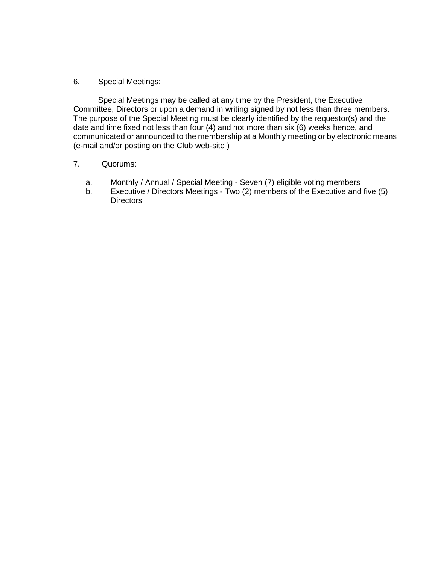#### 6. Special Meetings:

Special Meetings may be called at any time by the President, the Executive Committee, Directors or upon a demand in writing signed by not less than three members. The purpose of the Special Meeting must be clearly identified by the requestor(s) and the date and time fixed not less than four (4) and not more than six (6) weeks hence, and communicated or announced to the membership at a Monthly meeting or by electronic means (e-mail and/or posting on the Club web-site )

## 7. Quorums:

- a. Monthly / Annual / Special Meeting Seven (7) eligible voting members
- b. Executive / Directors Meetings Two (2) members of the Executive and five (5) **Directors**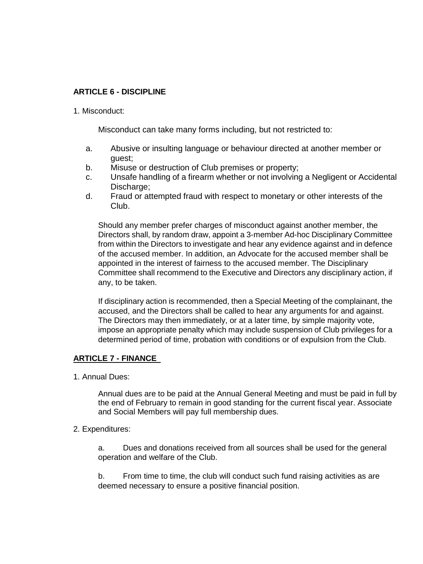# **ARTICLE 6 - DISCIPLINE**

#### 1. Misconduct:

Misconduct can take many forms including, but not restricted to:

- a. Abusive or insulting language or behaviour directed at another member or guest;
- b. Misuse or destruction of Club premises or property;
- c. Unsafe handling of a firearm whether or not involving a Negligent or Accidental Discharge:
- d. Fraud or attempted fraud with respect to monetary or other interests of the Club.

Should any member prefer charges of misconduct against another member, the Directors shall, by random draw, appoint a 3-member Ad-hoc Disciplinary Committee from within the Directors to investigate and hear any evidence against and in defence of the accused member. In addition, an Advocate for the accused member shall be appointed in the interest of fairness to the accused member. The Disciplinary Committee shall recommend to the Executive and Directors any disciplinary action, if any, to be taken.

If disciplinary action is recommended, then a Special Meeting of the complainant, the accused, and the Directors shall be called to hear any arguments for and against. The Directors may then immediately, or at a later time, by simple majority vote, impose an appropriate penalty which may include suspension of Club privileges for a determined period of time, probation with conditions or of expulsion from the Club.

# **ARTICLE 7 - FINANCE**

1. Annual Dues:

Annual dues are to be paid at the Annual General Meeting and must be paid in full by the end of February to remain in good standing for the current fiscal year. Associate and Social Members will pay full membership dues.

#### 2. Expenditures:

a. Dues and donations received from all sources shall be used for the general operation and welfare of the Club.

b. From time to time, the club will conduct such fund raising activities as are deemed necessary to ensure a positive financial position.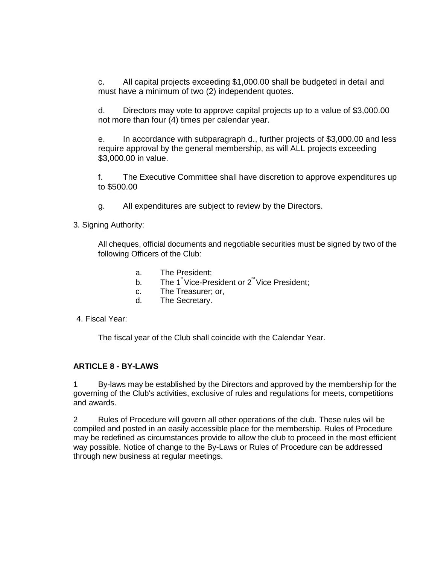c. All capital projects exceeding \$1,000.00 shall be budgeted in detail and must have a minimum of two (2) independent quotes.

d. Directors may vote to approve capital projects up to a value of \$3,000.00 not more than four (4) times per calendar year.

e. In accordance with subparagraph d., further projects of \$3,000.00 and less require approval by the general membership, as will ALL projects exceeding \$3,000.00 in value.

f. The Executive Committee shall have discretion to approve expenditures up to \$500.00

- g. All expenditures are subject to review by the Directors.
- 3. Signing Authority:

All cheques, official documents and negotiable securities must be signed by two of the following Officers of the Club:

- a. The President;
- b. The 1<sup>\*</sup>Vice-President or 2<sup>nd</sup> Vice President;
- c. The Treasurer; or,
- d. The Secretary.
- 4. Fiscal Year:

The fiscal year of the Club shall coincide with the Calendar Year.

## **ARTICLE 8 - BY-LAWS**

1 By-laws may be established by the Directors and approved by the membership for the governing of the Club's activities, exclusive of rules and regulations for meets, competitions and awards.

2 Rules of Procedure will govern all other operations of the club. These rules will be compiled and posted in an easily accessible place for the membership. Rules of Procedure may be redefined as circumstances provide to allow the club to proceed in the most efficient way possible. Notice of change to the By-Laws or Rules of Procedure can be addressed through new business at regular meetings.